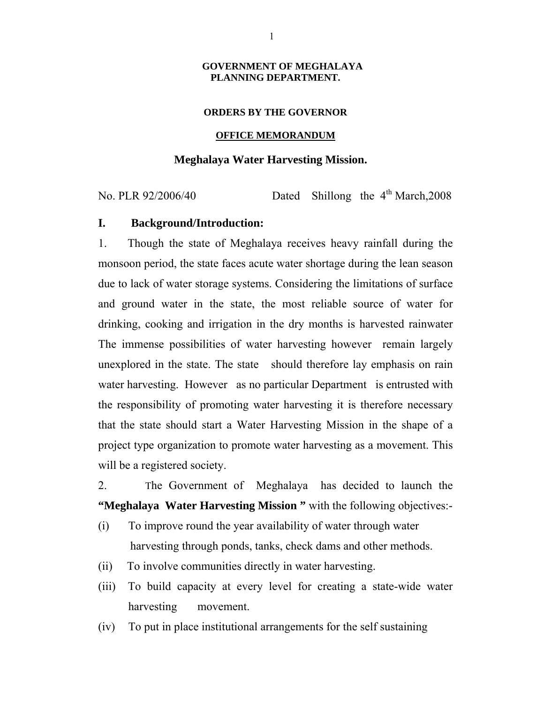#### **GOVERNMENT OF MEGHALAYA PLANNING DEPARTMENT.**

#### **ORDERS BY THE GOVERNOR**

#### **OFFICE MEMORANDUM**

### **Meghalaya Water Harvesting Mission.**

No. PLR  $92/2006/40$  Dated Shillong the  $4<sup>th</sup>$  March, 2008

### **I. Background/Introduction:**

1. Though the state of Meghalaya receives heavy rainfall during the monsoon period, the state faces acute water shortage during the lean season due to lack of water storage systems. Considering the limitations of surface and ground water in the state, the most reliable source of water for drinking, cooking and irrigation in the dry months is harvested rainwater The immense possibilities of water harvesting however remain largely unexplored in the state. The state should therefore lay emphasis on rain water harvesting. However as no particular Department is entrusted with the responsibility of promoting water harvesting it is therefore necessary that the state should start a Water Harvesting Mission in the shape of a project type organization to promote water harvesting as a movement. This will be a registered society.

2. The Government of Meghalaya has decided to launch the **"Meghalaya Water Harvesting Mission "** with the following objectives:-

- (i) To improve round the year availability of water through water harvesting through ponds, tanks, check dams and other methods.
- (ii) To involve communities directly in water harvesting.
- (iii) To build capacity at every level for creating a state-wide water harvesting movement.
- (iv) To put in place institutional arrangements for the self sustaining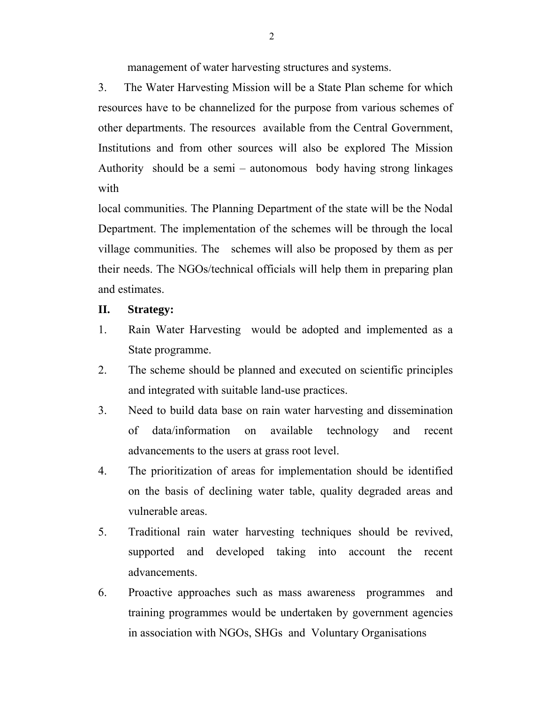management of water harvesting structures and systems.

3. The Water Harvesting Mission will be a State Plan scheme for which resources have to be channelized for the purpose from various schemes of other departments. The resources available from the Central Government, Institutions and from other sources will also be explored The Mission Authority should be a semi – autonomous body having strong linkages with

local communities. The Planning Department of the state will be the Nodal Department. The implementation of the schemes will be through the local village communities. The schemes will also be proposed by them as per their needs. The NGOs/technical officials will help them in preparing plan and estimates.

### **II. Strategy:**

- 1. Rain Water Harvesting would be adopted and implemented as a State programme.
- 2. The scheme should be planned and executed on scientific principles and integrated with suitable land-use practices.
- 3. Need to build data base on rain water harvesting and dissemination of data/information on available technology and recent advancements to the users at grass root level.
- 4. The prioritization of areas for implementation should be identified on the basis of declining water table, quality degraded areas and vulnerable areas.
- 5. Traditional rain water harvesting techniques should be revived, supported and developed taking into account the recent advancements.
- 6. Proactive approaches such as mass awareness programmes and training programmes would be undertaken by government agencies in association with NGOs, SHGs and Voluntary Organisations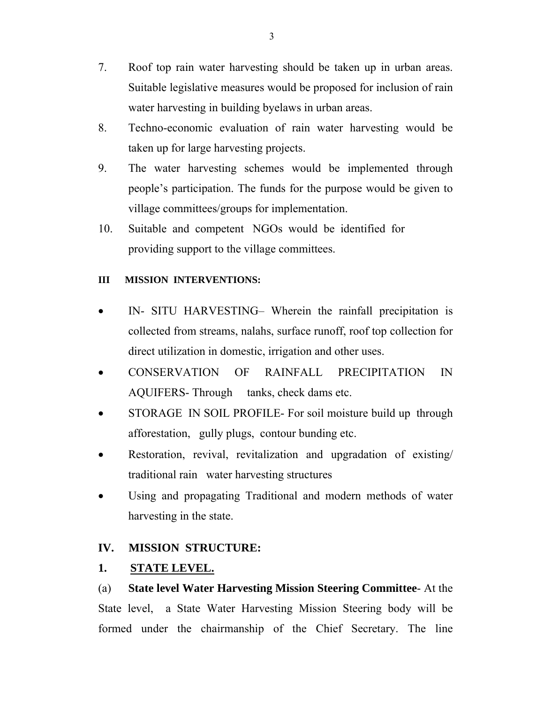- 7. Roof top rain water harvesting should be taken up in urban areas. Suitable legislative measures would be proposed for inclusion of rain water harvesting in building byelaws in urban areas.
- 8. Techno-economic evaluation of rain water harvesting would be taken up for large harvesting projects.
- 9. The water harvesting schemes would be implemented through people's participation. The funds for the purpose would be given to village committees/groups for implementation.
- 10. Suitable and competent NGOs would be identified for providing support to the village committees.

### **III MISSION INTERVENTIONS:**

- IN- SITU HARVESTING– Wherein the rainfall precipitation is collected from streams, nalahs, surface runoff, roof top collection for direct utilization in domestic, irrigation and other uses.
- CONSERVATION OF RAINFALL PRECIPITATION IN AQUIFERS- Through tanks, check dams etc.
- STORAGE IN SOIL PROFILE- For soil moisture build up through afforestation, gully plugs, contour bunding etc.
- Restoration, revival, revitalization and upgradation of existing/ traditional rain water harvesting structures
- Using and propagating Traditional and modern methods of water harvesting in the state.

### **IV. MISSION STRUCTURE:**

## **1. STATE LEVEL.**

(a) **State level Water Harvesting Mission Steering Committee**- At the State level, a State Water Harvesting Mission Steering body will be formed under the chairmanship of the Chief Secretary. The line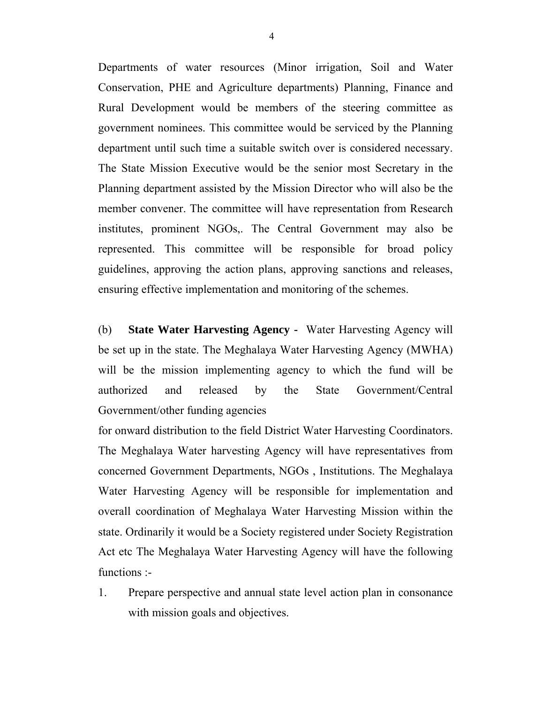Departments of water resources (Minor irrigation, Soil and Water Conservation, PHE and Agriculture departments) Planning, Finance and Rural Development would be members of the steering committee as government nominees. This committee would be serviced by the Planning department until such time a suitable switch over is considered necessary. The State Mission Executive would be the senior most Secretary in the Planning department assisted by the Mission Director who will also be the member convener. The committee will have representation from Research institutes, prominent NGOs,. The Central Government may also be represented. This committee will be responsible for broad policy guidelines, approving the action plans, approving sanctions and releases, ensuring effective implementation and monitoring of the schemes.

(b) **State Water Harvesting Agency -** Water Harvesting Agency will be set up in the state. The Meghalaya Water Harvesting Agency (MWHA) will be the mission implementing agency to which the fund will be authorized and released by the State Government/Central Government/other funding agencies

for onward distribution to the field District Water Harvesting Coordinators. The Meghalaya Water harvesting Agency will have representatives from concerned Government Departments, NGOs , Institutions. The Meghalaya Water Harvesting Agency will be responsible for implementation and overall coordination of Meghalaya Water Harvesting Mission within the state. Ordinarily it would be a Society registered under Society Registration Act etc The Meghalaya Water Harvesting Agency will have the following functions :-

1. Prepare perspective and annual state level action plan in consonance with mission goals and objectives.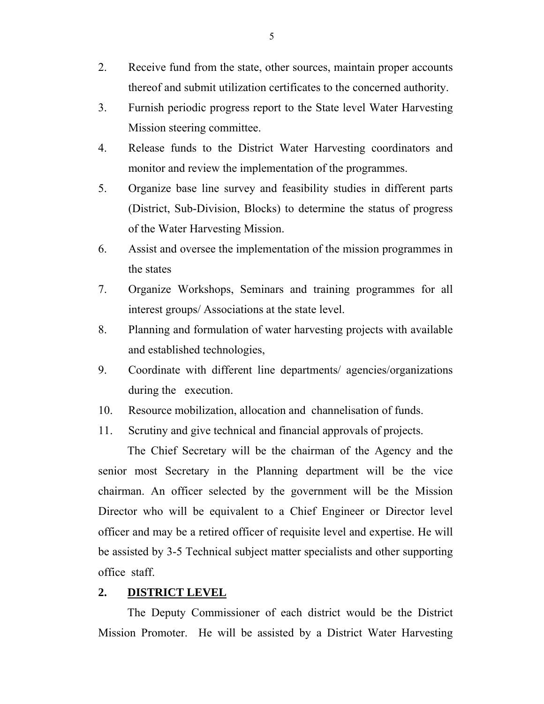- 2. Receive fund from the state, other sources, maintain proper accounts thereof and submit utilization certificates to the concerned authority.
- 3. Furnish periodic progress report to the State level Water Harvesting Mission steering committee.
- 4. Release funds to the District Water Harvesting coordinators and monitor and review the implementation of the programmes.
- 5. Organize base line survey and feasibility studies in different parts (District, Sub-Division, Blocks) to determine the status of progress of the Water Harvesting Mission.
- 6. Assist and oversee the implementation of the mission programmes in the states
- 7. Organize Workshops, Seminars and training programmes for all interest groups/ Associations at the state level.
- 8. Planning and formulation of water harvesting projects with available and established technologies,
- 9. Coordinate with different line departments/ agencies/organizations during the execution.
- 10. Resource mobilization, allocation and channelisation of funds.
- 11. Scrutiny and give technical and financial approvals of projects.

 The Chief Secretary will be the chairman of the Agency and the senior most Secretary in the Planning department will be the vice chairman. An officer selected by the government will be the Mission Director who will be equivalent to a Chief Engineer or Director level officer and may be a retired officer of requisite level and expertise. He will be assisted by 3-5 Technical subject matter specialists and other supporting office staff.

### **2. DISTRICT LEVEL**

 The Deputy Commissioner of each district would be the District Mission Promoter. He will be assisted by a District Water Harvesting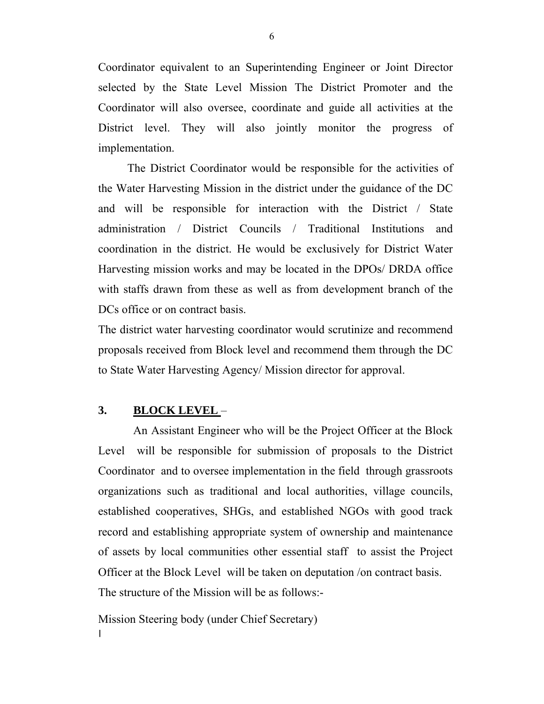Coordinator equivalent to an Superintending Engineer or Joint Director selected by the State Level Mission The District Promoter and the Coordinator will also oversee, coordinate and guide all activities at the District level. They will also jointly monitor the progress of implementation.

 The District Coordinator would be responsible for the activities of the Water Harvesting Mission in the district under the guidance of the DC and will be responsible for interaction with the District / State administration / District Councils / Traditional Institutions and coordination in the district. He would be exclusively for District Water Harvesting mission works and may be located in the DPOs/ DRDA office with staffs drawn from these as well as from development branch of the DCs office or on contract basis.

The district water harvesting coordinator would scrutinize and recommend proposals received from Block level and recommend them through the DC to State Water Harvesting Agency/ Mission director for approval.

### **3. BLOCK LEVEL** –

 An Assistant Engineer who will be the Project Officer at the Block Level will be responsible for submission of proposals to the District Coordinator and to oversee implementation in the field through grassroots organizations such as traditional and local authorities, village councils, established cooperatives, SHGs, and established NGOs with good track record and establishing appropriate system of ownership and maintenance of assets by local communities other essential staff to assist the Project Officer at the Block Level will be taken on deputation /on contract basis. The structure of the Mission will be as follows:-

Mission Steering body (under Chief Secretary) ׀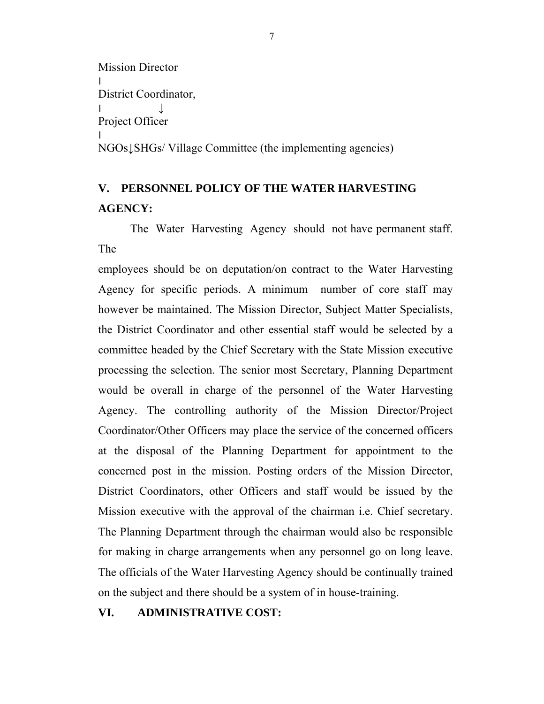```
Mission Director 
׀
District Coordinator, 
|Project Officer 
׀
NGOs↓SHGs/ Village Committee (the implementing agencies)
```
# **V. PERSONNEL POLICY OF THE WATER HARVESTING AGENCY:**

 The Water Harvesting Agency should not have permanent staff. The

employees should be on deputation/on contract to the Water Harvesting Agency for specific periods. A minimum number of core staff may however be maintained. The Mission Director, Subject Matter Specialists, the District Coordinator and other essential staff would be selected by a committee headed by the Chief Secretary with the State Mission executive processing the selection. The senior most Secretary, Planning Department would be overall in charge of the personnel of the Water Harvesting Agency. The controlling authority of the Mission Director/Project Coordinator/Other Officers may place the service of the concerned officers at the disposal of the Planning Department for appointment to the concerned post in the mission. Posting orders of the Mission Director, District Coordinators, other Officers and staff would be issued by the Mission executive with the approval of the chairman i.e. Chief secretary. The Planning Department through the chairman would also be responsible for making in charge arrangements when any personnel go on long leave. The officials of the Water Harvesting Agency should be continually trained on the subject and there should be a system of in house-training.

### **VI. ADMINISTRATIVE COST:**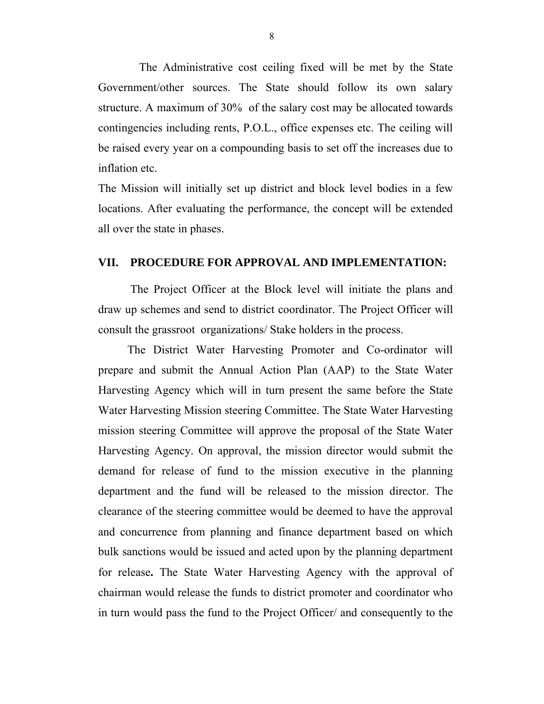The Administrative cost ceiling fixed will be met by the State Government/other sources. The State should follow its own salary structure. A maximum of 30% of the salary cost may be allocated towards contingencies including rents, P.O.L., office expenses etc. The ceiling will be raised every year on a compounding basis to set off the increases due to inflation etc.

The Mission will initially set up district and block level bodies in a few locations. After evaluating the performance, the concept will be extended all over the state in phases.

### **VII. PROCEDURE FOR APPROVAL AND IMPLEMENTATION:**

 The Project Officer at the Block level will initiate the plans and draw up schemes and send to district coordinator. The Project Officer will consult the grassroot organizations/ Stake holders in the process.

 The District Water Harvesting Promoter and Co-ordinator will prepare and submit the Annual Action Plan (AAP) to the State Water Harvesting Agency which will in turn present the same before the State Water Harvesting Mission steering Committee. The State Water Harvesting mission steering Committee will approve the proposal of the State Water Harvesting Agency. On approval, the mission director would submit the demand for release of fund to the mission executive in the planning department and the fund will be released to the mission director. The clearance of the steering committee would be deemed to have the approval and concurrence from planning and finance department based on which bulk sanctions would be issued and acted upon by the planning department for release**.** The State Water Harvesting Agency with the approval of chairman would release the funds to district promoter and coordinator who in turn would pass the fund to the Project Officer/ and consequently to the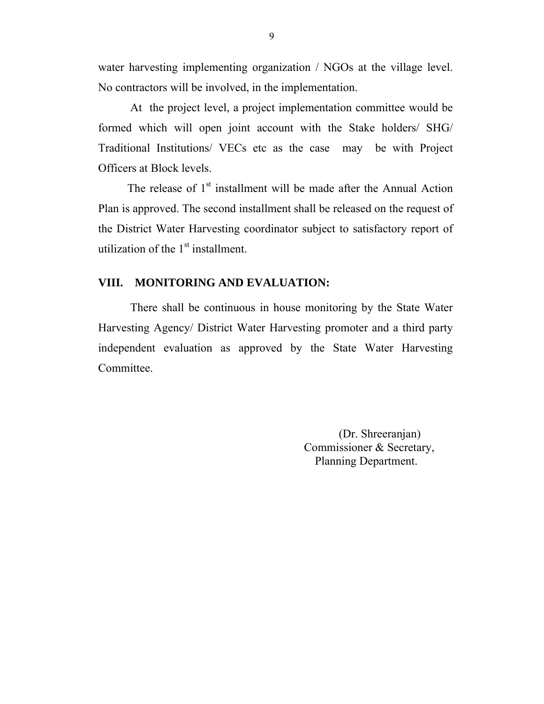water harvesting implementing organization / NGOs at the village level. No contractors will be involved, in the implementation.

 At the project level, a project implementation committee would be formed which will open joint account with the Stake holders/ SHG/ Traditional Institutions/ VECs etc as the case may be with Project Officers at Block levels.

The release of  $1<sup>st</sup>$  installment will be made after the Annual Action Plan is approved. The second installment shall be released on the request of the District Water Harvesting coordinator subject to satisfactory report of utilization of the  $1<sup>st</sup>$  installment.

### **VIII. MONITORING AND EVALUATION:**

 There shall be continuous in house monitoring by the State Water Harvesting Agency/ District Water Harvesting promoter and a third party independent evaluation as approved by the State Water Harvesting Committee.

> (Dr. Shreeranjan) Commissioner & Secretary, Planning Department.